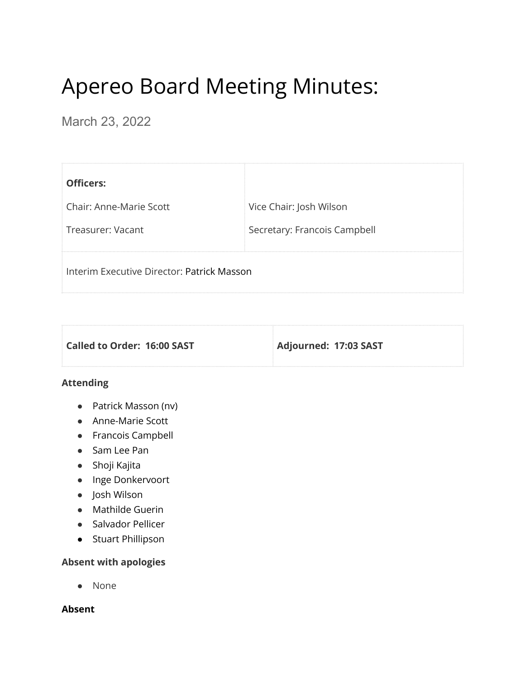# Apereo Board Meeting Minutes:

March 23, 2022

| <b>Officers:</b>                           |                              |
|--------------------------------------------|------------------------------|
| <b>Chair: Anne-Marie Scott</b>             | Vice Chair: Josh Wilson      |
| Treasurer: Vacant                          | Secretary: Francois Campbell |
| Interim Executive Director: Patrick Masson |                              |

| Called to Order: 16:00 SAST | Adjourned: 17:03 SAST |
|-----------------------------|-----------------------|

# **Attending**

- Patrick Masson (nv)
- Anne-Marie Scott
- Francois Campbell
- Sam Lee Pan
- Shoji Kajita
- Inge Donkervoort
- Josh Wilson
- Mathilde Guerin
- Salvador Pellicer
- Stuart Phillipson

# **Absent with apologies**

● None

#### **Absent**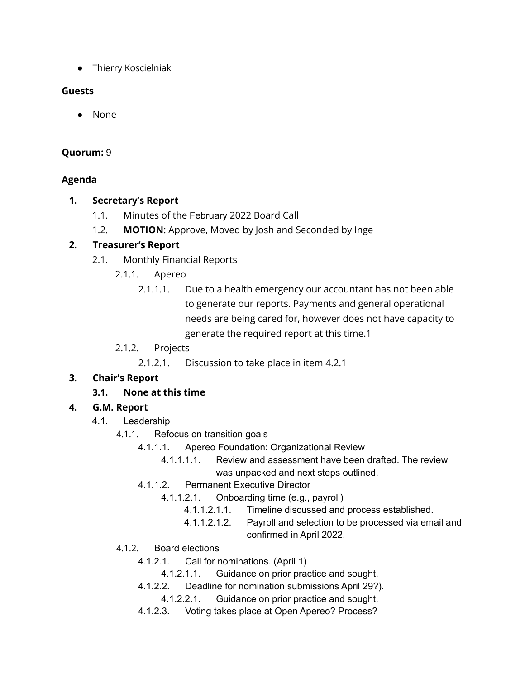● Thierry Koscielniak

#### **Guests**

● None

#### **Quorum:** 9

#### **Agenda**

# **1. Secretary's Report**

- 1.1. Minutes of the February 2022 Board Call
- 1.2. **MOTION**: Approve, Moved by Josh and Seconded by Inge

# **2. Treasurer's Report**

- 2.1. Monthly Financial Reports
	- 2.1.1. Apereo
		- 2.1.1.1. Due to a health emergency our accountant has not been able to generate our reports. Payments and general operational needs are being cared for, however does not have capacity to generate the required report at this time.1
	- 2.1.2. Projects

2.1.2.1. Discussion to take place in item 4.2.1

# **3. Chair's Report**

# **3.1. None at this time**

# **4. G.M. Report**

- 4.1. Leadership
	- 4.1.1. Refocus on transition goals
		- 4.1.1.1. Apereo Foundation: Organizational Review
			- 4.1.1.1.1. Review and assessment have been drafted. The review was unpacked and next steps outlined.
		- 4.1.1.2. Permanent Executive Director
			- 4.1.1.2.1. Onboarding time (e.g., payroll)
				- 4.1.1.2.1.1. Timeline discussed and process established.
				- 4.1.1.2.1.2. Payroll and selection to be processed via email and confirmed in April 2022.
	- 4.1.2. Board elections
		- 4.1.2.1. Call for nominations. (April 1)
			- 4.1.2.1.1. Guidance on prior practice and sought.
		- 4.1.2.2. Deadline for nomination submissions April 29?).
			- 4.1.2.2.1. Guidance on prior practice and sought.
		- 4.1.2.3. Voting takes place at Open Apereo? Process?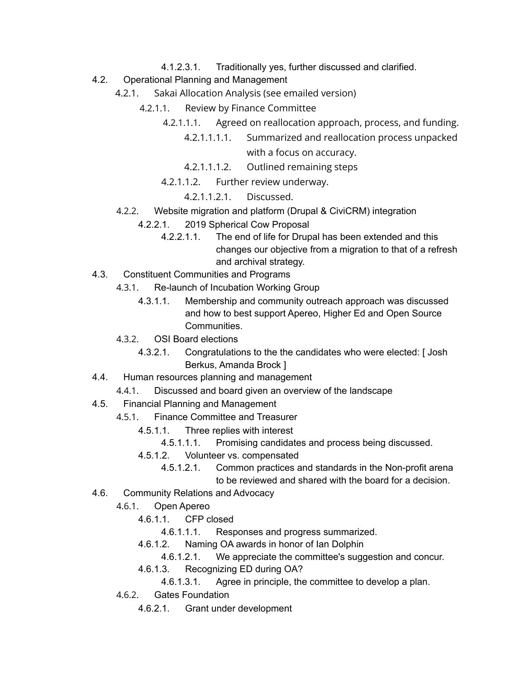- 4.1.2.3.1. Traditionally yes, further discussed and clarified.
- 4.2. Operational Planning and Management
	- 4.2.1. Sakai Allocation Analysis (see emailed version)
		- 4.2.1.1. Review by Finance Committee
			- 4.2.1.1.1. Agreed on reallocation approach, process, and funding.
				- 4.2.1.1.1.1. Summarized and reallocation process unpacked with a focus on accuracy.
				- 4.2.1.1.1.2. Outlined remaining steps
			- 4.2.1.1.2. Further review underway.
				- 4.2.1.1.2.1. Discussed.
	- 4.2.2. Website migration and platform (Drupal & CiviCRM) integration
		- 4.2.2.1. 2019 Spherical Cow Proposal
			- 4.2.2.1.1. The end of life for Drupal has been extended and this changes our objective from a migration to that of a refresh and archival strategy.
- 4.3. Constituent Communities and Programs
	- 4.3.1. Re-launch of Incubation Working Group
		- 4.3.1.1. Membership and community outreach approach was discussed and how to best support Apereo, Higher Ed and Open Source Communities.
	- 4.3.2. OSI Board elections
		- 4.3.2.1. Congratulations to the the candidates who were elected: [ Josh Berkus, Amanda Brock ]
- 4.4. Human resources planning and management
	- 4.4.1. Discussed and board given an overview of the landscape
- 4.5. Financial Planning and Management
	- 4.5.1. Finance Committee and Treasurer
		- 4.5.1.1. Three replies with interest
			- 4.5.1.1.1. Promising candidates and process being discussed.
		- 4.5.1.2. Volunteer vs. compensated
			- 4.5.1.2.1. Common practices and standards in the Non-profit arena to be reviewed and shared with the board for a decision.
- 4.6. Community Relations and Advocacy
	- 4.6.1. Open Apereo
		- 4.6.1.1. CFP closed
			- 4.6.1.1.1. Responses and progress summarized.
		- 4.6.1.2. Naming OA awards in honor of Ian Dolphin
			- 4.6.1.2.1. We appreciate the committee's suggestion and concur.
		- 4.6.1.3. Recognizing ED during OA?
			- 4.6.1.3.1. Agree in principle, the committee to develop a plan.
	- 4.6.2. Gates Foundation
		- 4.6.2.1. Grant under development